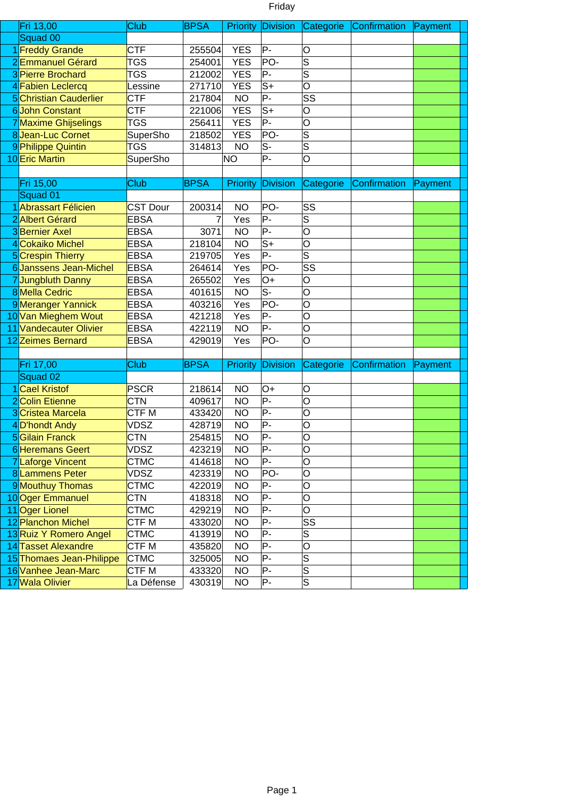|--|

| Fri 13,00                     | Club             | <b>BPSA</b> |            | Priority Division         | Categorie               | Confirmation | Payment |  |
|-------------------------------|------------------|-------------|------------|---------------------------|-------------------------|--------------|---------|--|
| Squad 00                      |                  |             |            |                           |                         |              |         |  |
| 1 Freddy Grande               | <b>CTF</b>       | 255504      | <b>YES</b> | P-                        | O                       |              |         |  |
| 2Emmanuel Gérard              | <b>TGS</b>       | 254001      | <b>YES</b> | PO-                       | S                       |              |         |  |
| 3 Pierre Brochard             | <b>TGS</b>       | 212002      | <b>YES</b> | P-                        | $\overline{\mathsf{s}}$ |              |         |  |
| 4 Fabien Leclercq             | Lessine          | 271710      | <b>YES</b> | $\overline{S+}$           | $\overline{\mathsf{o}}$ |              |         |  |
| <b>5</b> Christian Cauderlier | <b>CTF</b>       | 217804      | <b>NO</b>  | $P -$                     | SS                      |              |         |  |
| 6John Constant                | <b>CTF</b>       | 221006      | <b>YES</b> | $S+$                      | O                       |              |         |  |
| 7 Maxime Ghijselings          | <b>TGS</b>       | 256411      | <b>YES</b> | P-                        | O                       |              |         |  |
| 8Jean-Luc Cornet              | SuperSho         | 218502      | <b>YES</b> | PO-                       | S                       |              |         |  |
| 9 Philippe Quintin            | <b>TGS</b>       | 314813      | <b>NO</b>  | $S-$                      | $\overline{\mathsf{s}}$ |              |         |  |
| 10 Eric Martin                | SuperSho         |             | <b>NO</b>  | P-                        | O                       |              |         |  |
|                               |                  |             |            |                           |                         |              |         |  |
| Fri 15,00                     | Club             | <b>BPSA</b> | Priority   | <b>Division</b>           | Categorie               | Confirmation | Payment |  |
| Squad 01                      |                  |             |            |                           |                         |              |         |  |
| 1 Abrassart Félicien          | <b>CST Dour</b>  | 200314      | <b>NO</b>  | PO-                       | SS                      |              |         |  |
| 2 Albert Gérard               | <b>EBSA</b>      | 7           | Yes        | $\overline{P}$            | $\overline{\mathsf{s}}$ |              |         |  |
| 3Bernier Axel                 | <b>EBSA</b>      | 3071        | <b>NO</b>  | $P -$                     | O                       |              |         |  |
| 4 Cokaiko Michel              | <b>EBSA</b>      | 218104      | <b>NO</b>  | $S+$                      | O                       |              |         |  |
| 5 Crespin Thierry             | <b>EBSA</b>      | 219705      | Yes        | P-                        | $\overline{\mathsf{s}}$ |              |         |  |
| 6 Janssens Jean-Michel        | <b>EBSA</b>      | 264614      | Yes        | PO-                       | SS                      |              |         |  |
| 7Jungbluth Danny              | <b>EBSA</b>      | 265502      | Yes        | $O+$                      | O                       |              |         |  |
| 8 Mella Cedric                | <b>EBSA</b>      | 401615      | <b>NO</b>  | $\overline{\mathsf{S}^-}$ | O                       |              |         |  |
| 9Meranger Yannick             | <b>EBSA</b>      | 403216      | Yes        | PO-                       | O                       |              |         |  |
| 10 Van Mieghem Wout           | <b>EBSA</b>      | 421218      | Yes        | $P -$                     | $\overline{\circ}$      |              |         |  |
| 11 Vandecauter Olivier        | <b>EBSA</b>      | 422119      | <b>NO</b>  | P-                        | O                       |              |         |  |
| 12 Zeimes Bernard             | <b>EBSA</b>      | 429019      | Yes        | PO-                       | O                       |              |         |  |
|                               |                  |             |            |                           |                         |              |         |  |
| Fri 17,00                     | Club             | <b>BPSA</b> | Priority   | <b>Division</b>           | Categorie               | Confirmation | Payment |  |
| Squad 02                      |                  |             |            |                           |                         |              |         |  |
| 1 Cael Kristof                | <b>PSCR</b>      | 218614      | <b>NO</b>  | $O+$                      | O                       |              |         |  |
| 2 Colin Etienne               | <b>CTN</b>       | 409617      | <b>NO</b>  | $P -$                     | O                       |              |         |  |
| 3 Cristea Marcela             | CTF <sub>M</sub> | 433420      | <b>NO</b>  | $\overline{P}$            | O                       |              |         |  |
| 4D'hondt Andy                 | <b>VDSZ</b>      | 428719      | <b>NO</b>  | $P -$                     | O                       |              |         |  |
| <b>5</b> Gilain Franck        | <b>CTN</b>       | 254815      | <b>NO</b>  | $P -$                     | O                       |              |         |  |
| <b>6</b> Heremans Geert       | <b>VDSZ</b>      | 423219      | <b>NO</b>  | P-                        | O                       |              |         |  |
| 7 Laforge Vincent             | <b>CTMC</b>      | 414618      | <b>NO</b>  | $P -$                     | O                       |              |         |  |
| 8Lammens Peter                | <b>VDSZ</b>      | 423319      | <b>NO</b>  | PO-                       | O                       |              |         |  |
| 9 Mouthuy Thomas              | <b>CTMC</b>      | 422019      | <b>NO</b>  | P-                        | O                       |              |         |  |
| 10 Oger Emmanuel              | <b>CTN</b>       | 418318      | <b>NO</b>  | $P -$                     | O                       |              |         |  |
| 11 Oger Lionel                | <b>CTMC</b>      | 429219      | <b>NO</b>  | P-                        | O                       |              |         |  |
| 12 Planchon Michel            | CTF M            | 433020      | <b>NO</b>  | P-                        | SS                      |              |         |  |
| 13 Ruiz Y Romero Angel        | <b>CTMC</b>      | 413919      | <b>NO</b>  | P-                        | S                       |              |         |  |
| 14 Tasset Alexandre           | CTF M            | 435820      | <b>NO</b>  | $P -$                     | O                       |              |         |  |
| 15 Thomaes Jean-Philippe      | <b>CTMC</b>      | 325005      | <b>NO</b>  | P-                        | S                       |              |         |  |
| 16 Vanhee Jean-Marc           | CTF M            | 433320      | <b>NO</b>  | P-                        | $\overline{\mathsf{s}}$ |              |         |  |
| 17 Wala Olivier               | La Défense       | 430319      | <b>NO</b>  | P-                        | $\overline{\mathsf{s}}$ |              |         |  |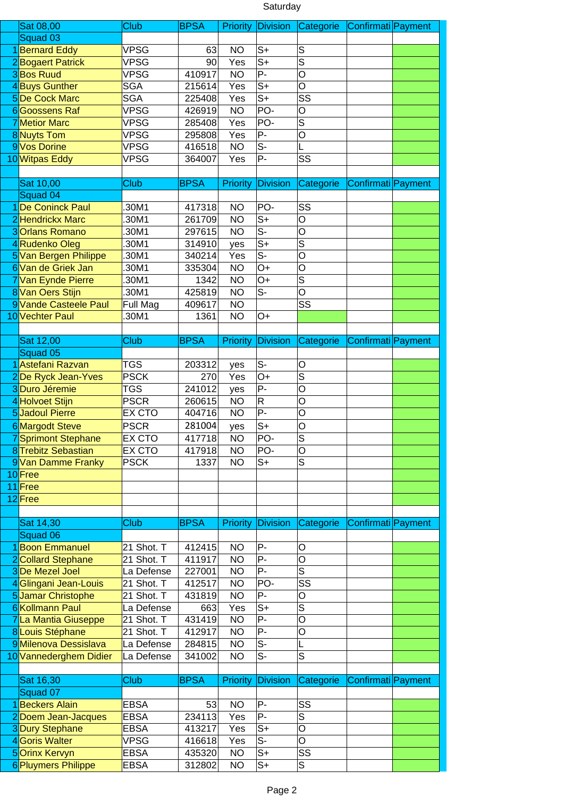## Saturday

| Sat 08,00                            | Club                       | <b>BPSA</b>      | <b>Priority</b>        | Division                  | Categorie Confirmati Payment |                    |  |
|--------------------------------------|----------------------------|------------------|------------------------|---------------------------|------------------------------|--------------------|--|
| Squad 03                             |                            |                  |                        |                           |                              |                    |  |
| 1 Bernard Eddy                       | <b>VPSG</b>                | 63               | <b>NO</b>              | $S+$                      | S                            |                    |  |
| 2Bogaert Patrick                     | <b>VPSG</b>                | 90               | Yes                    | $S+$                      | $\overline{s}$               |                    |  |
| 3Bos Ruud                            | <b>VPSG</b>                | 410917           | <b>NO</b>              | $P -$                     | $\overline{\mathsf{o}}$      |                    |  |
| 4Buys Gunther                        | <b>SGA</b>                 | 215614           | Yes                    | $S+$                      | O                            |                    |  |
| <b>5De Cock Marc</b>                 | <b>SGA</b>                 |                  |                        | $S+$                      | SS                           |                    |  |
|                                      |                            | 225408           | Yes                    |                           |                              |                    |  |
| 6Goossens Raf                        | <b>VPSG</b>                | 426919           | <b>NO</b>              | PO-                       | O                            |                    |  |
| <b>7</b> Metior Marc                 | <b>VPSG</b>                | 285408           | Yes                    | PO-                       | $\overline{\mathsf{s}}$      |                    |  |
| 8Nuyts Tom                           | <b>VPSG</b>                | 295808           | Yes                    | P-                        | O                            |                    |  |
| 9 Vos Dorine                         | <b>VPSG</b>                | 416518           | <b>NO</b>              | $S-$                      |                              |                    |  |
| 10 Witpas Eddy                       | <b>VPSG</b>                | 364007           | Yes                    | P-                        | SS                           |                    |  |
|                                      |                            |                  |                        |                           |                              |                    |  |
| Sat 10,00                            | Club                       | <b>BPSA</b>      | Priority               | <b>Division</b>           | <b>Categorie</b>             | Confirmati Payment |  |
| Squad 04                             |                            |                  |                        |                           |                              |                    |  |
| 1 De Coninck Paul                    | 30M1                       | 417318           | <b>NO</b>              | PO-                       | SS                           |                    |  |
| 2 Hendrickx Marc                     | 30M1                       | 261709           | <b>NO</b>              | $S+$                      | O                            |                    |  |
| 3 Orlans Romano                      | 30M1                       | 297615           | <b>NO</b>              | $\overline{\mathsf{S}}$ - | O                            |                    |  |
| 4Rudenko Oleg                        | 30M1                       | 314910           | yes                    | $\overline{S^+}$          | S                            |                    |  |
| 5 Van Bergen Philippe                | 30M1                       | 340214           | Yes                    | $\overline{\mathsf{S}}$   | $\overline{O}$               |                    |  |
| 6 Van de Griek Jan                   | 30M1                       | 335304           | <b>NO</b>              | $O+$                      | O                            |                    |  |
| 7 Van Eynde Pierre                   | 30M1                       | 1342             | <b>NO</b>              | $O+$                      | $\overline{\mathsf{s}}$      |                    |  |
| 8 Van Oers Stijn                     | .30M1                      | 425819           | <b>NO</b>              | $S-$                      | O                            |                    |  |
| 9 Vande Casteele Paul                | Full Mag                   | 409617           | <b>NO</b>              |                           | $\overline{\text{SS}}$       |                    |  |
| 10 Vechter Paul                      | 30M1                       | 1361             | <b>NO</b>              | $O+$                      |                              |                    |  |
|                                      |                            |                  |                        |                           |                              |                    |  |
| Sat 12,00                            | Club                       | <b>BPSA</b>      | <b>Priority</b>        | <b>Division</b>           | Categorie                    | Confirmati Payment |  |
| Squad 05                             |                            |                  |                        |                           |                              |                    |  |
| 1 Astefani Razvan                    | <b>TGS</b>                 | 203312           | yes                    | $S-$                      | O                            |                    |  |
| 2De Ryck Jean-Yves                   | <b>PSCK</b>                | 270              | Yes                    | $O+$                      | S                            |                    |  |
| 3Duro Jéremie                        | <b>TGS</b>                 | 241012           | yes                    | P-                        | O                            |                    |  |
| 4Holvoet Stijn                       | <b>PSCR</b>                | 260615           | <b>NO</b>              | $\mathsf R$               | O                            |                    |  |
| 5Jadoul Pierre                       | EX CTO                     | 404716           | <b>NO</b>              | $\overline{P}$            | $\overline{\circ}$           |                    |  |
| 6 Margodt Steve                      | <b>PSCR</b>                | 281004           | yes                    | $S+$                      | O                            |                    |  |
| 7Sprimont Stephane                   | <b>EX CTO</b>              | 417718           | <b>NO</b>              | PO-                       | $\overline{\mathsf{s}}$      |                    |  |
| 8 Trebitz Sebastian                  | <b>EX CTO</b>              | 417918           | <b>NO</b>              | PO-                       | O                            |                    |  |
| 9 Van Damme Franky                   | <b>PSCK</b>                | 1337             | <b>NO</b>              | $S+$                      | $\overline{\mathsf{s}}$      |                    |  |
| 10Free                               |                            |                  |                        |                           |                              |                    |  |
| 11Free                               |                            |                  |                        |                           |                              |                    |  |
| 12 Free                              |                            |                  |                        |                           |                              |                    |  |
|                                      |                            |                  |                        |                           |                              |                    |  |
| Sat 14,30                            | Club                       | <b>BPSA</b>      | Priority               | <b>Division</b>           | Categorie                    | Confirmati Payment |  |
| Squad 06                             |                            |                  |                        |                           |                              |                    |  |
| 1Boon Emmanuel                       | 21 Shot. T                 | 412415           | <b>NO</b>              | P-                        | O                            |                    |  |
| 2 Collard Stephane                   | 21 Shot. T                 | 411917           | <b>NO</b>              | P-                        | O                            |                    |  |
| 3De Mezel Joel                       | La Defense                 | 227001           | <b>NO</b>              | P-                        | $\overline{s}$               |                    |  |
| 4Glingani Jean-Louis                 | 21 Shot. T                 | 412517           | <b>NO</b>              | PO-                       | SS                           |                    |  |
| 5Jamar Christophe                    | 21 Shot. T                 | 431819           | <b>NO</b>              | P-                        | O                            |                    |  |
| 6 Kollmann Paul                      | La Defense                 | 663              | Yes                    | $S+$                      | S                            |                    |  |
| 7 La Mantia Giuseppe                 | 21 Shot. T                 | 431419           | <b>NO</b>              | P-                        | O                            |                    |  |
| 8 Louis Stéphane                     | 21 Shot. T                 | 412917           | <b>NO</b>              | P-                        | O                            |                    |  |
| 9 Milenova Dessislava                | La Defense                 | 284815           | <b>NO</b>              | $S-$                      |                              |                    |  |
| 10 Vannederghem Didier               | La Defense                 | 341002           | <b>NO</b>              | $S-$                      | S                            |                    |  |
|                                      |                            |                  |                        |                           |                              |                    |  |
| Sat 16,30                            | Club                       | <b>BPSA</b>      | Priority               | <b>Division</b>           | Categorie                    | Confirmati Payment |  |
| Squad 07                             |                            |                  |                        |                           |                              |                    |  |
| 1Beckers Alain                       | <b>EBSA</b>                | 53               | <b>NO</b>              | P-                        | SS                           |                    |  |
| 2Doem Jean-Jacques                   | <b>EBSA</b>                | 234113           | Yes                    | P-                        | S                            |                    |  |
| 3Dury Stephane                       | <b>EBSA</b>                | 413217           | Yes                    | $S+$                      | O                            |                    |  |
| 4 Goris Walter                       | <b>VPSG</b>                | 416618           | Yes                    | $S-$                      | O                            |                    |  |
| 5Orinx Kervyn<br>6 Pluymers Philippe | <b>EBSA</b><br><b>EBSA</b> | 435320<br>312802 | <b>NO</b><br><b>NO</b> | $S+$<br>$S+$              | SS<br>S                      |                    |  |
|                                      |                            |                  |                        |                           |                              |                    |  |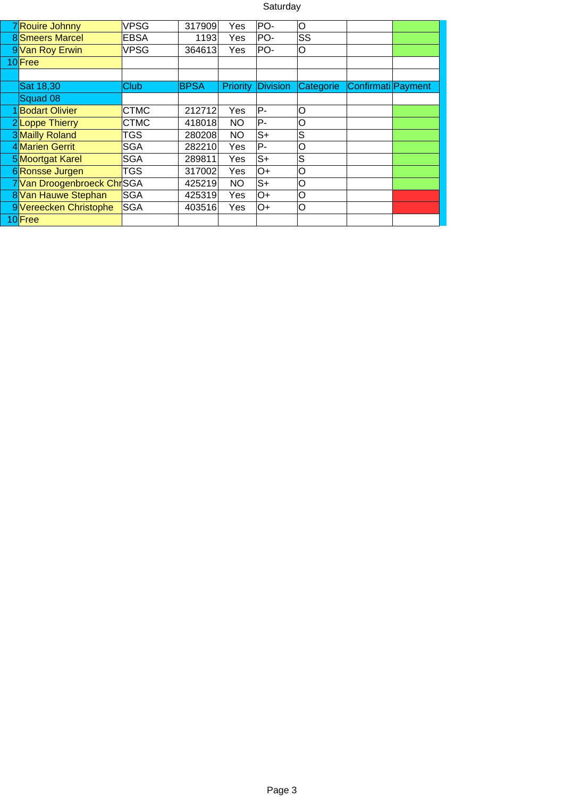## Saturday

| 7Rouire Johnny              | <b>VPSG</b> | 317909      | Yes        | PO-             | lO        |                    |  |
|-----------------------------|-------------|-------------|------------|-----------------|-----------|--------------------|--|
| <b>8</b> Smeers Marcel      | <b>EBSA</b> | 1193        | Yes        | PO-             | SS        |                    |  |
| 9 Van Roy Erwin             | VPSG        | 364613      | Yes.       | PO-             | O         |                    |  |
| 10 Free                     |             |             |            |                 |           |                    |  |
|                             |             |             |            |                 |           |                    |  |
| Sat 18,30                   | Club        | <b>BPSA</b> | Priority   | <b>Division</b> | Categorie | Confirmati Payment |  |
| Squad 08                    |             |             |            |                 |           |                    |  |
| 1Bodart Olivier             | <b>CTMC</b> | 212712      | <b>Yes</b> | P-              | lO        |                    |  |
| 2Loppe Thierry              | <b>CTMC</b> | 418018      | <b>NO</b>  | P--             | lO        |                    |  |
| 3 Mailly Roland             | TGS         | 280208      | <b>NO</b>  | $S+$            | S         |                    |  |
| 4 Marien Gerrit             | SGA         | 282210      | Yes        | P-              | lO        |                    |  |
| 5 Moortgat Karel            | <b>SGA</b>  | 289811      | Yes        | S+              | S         |                    |  |
| 6 Ronsse Jurgen             | TGS         | 317002      | Yes        | O+              | lO        |                    |  |
| 7 Van Droogenbroeck Chr SGA |             | 425219      | <b>NO</b>  | $S+$            | lO        |                    |  |
| 8 Van Hauwe Stephan         | <b>SGA</b>  | 425319      | Yes        | lO+             | O         |                    |  |
| 9 Vereecken Christophe      | <b>SGA</b>  | 403516      | Yes        | lO+             | lO        |                    |  |
| 10 Free                     |             |             |            |                 |           |                    |  |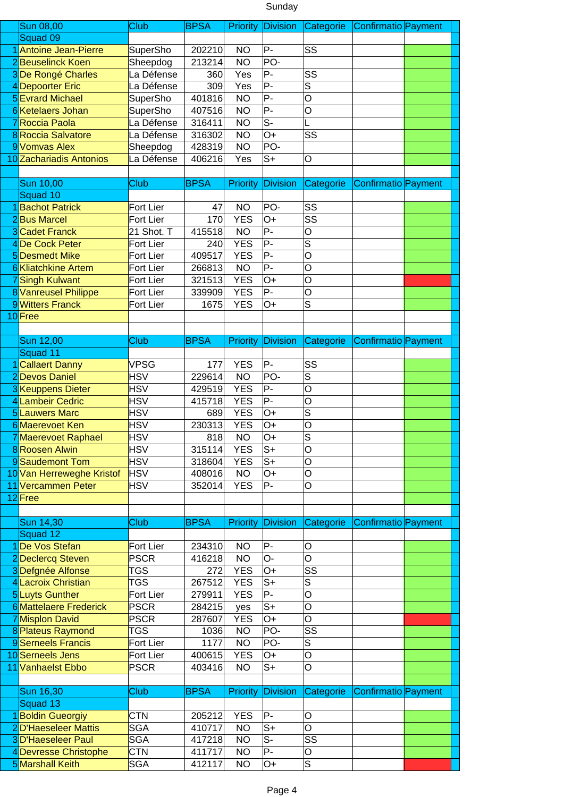## Sunday

| <b>Sun 08,00</b>                         | Club                             | <b>BPSA</b>      | <b>Priority</b>        | Division                  | Categorie               | Confirmatio Payment |  |
|------------------------------------------|----------------------------------|------------------|------------------------|---------------------------|-------------------------|---------------------|--|
| Squad 09                                 |                                  |                  |                        |                           |                         |                     |  |
| 1 Antoine Jean-Pierre                    | SuperSho                         | 202210           | <b>NO</b>              | $P -$                     | SS                      |                     |  |
| 2Beuselinck Koen                         | Sheepdog                         | 213214           | <b>NO</b>              | PO-                       |                         |                     |  |
|                                          | La Défense                       |                  |                        | P-                        | SS                      |                     |  |
| 3De Rongé Charles                        |                                  | 360              | Yes                    |                           |                         |                     |  |
| 4Depoorter Eric                          | La Défense                       | 309              | Yes                    | $\overline{P}$            | $\overline{\mathsf{s}}$ |                     |  |
| <b>5</b> Evrard Michael                  | SuperSho                         | 401816           | <b>NO</b>              | $\overline{P}$            | O                       |                     |  |
| 6 Ketelaers Johan                        | SuperSho                         | 407516           | <b>NO</b>              | $P -$                     | O                       |                     |  |
| 7Roccia Paola                            | $\overline{\mathsf{La}}$ Défense | 316411           | <b>NO</b>              | $S-$                      |                         |                     |  |
| <b>8</b> Roccia Salvatore                | La Défense                       | 316302           | <b>NO</b>              | O+                        | SS                      |                     |  |
| 9 Vomvas Alex                            | Sheepdog                         | 428319           | <b>NO</b>              | PO-                       |                         |                     |  |
| 10 Zachariadis Antonios                  | La Défense                       | 406216           | Yes                    | $S+$                      | O                       |                     |  |
|                                          |                                  |                  |                        |                           |                         |                     |  |
|                                          |                                  |                  |                        |                           |                         |                     |  |
| Sun 10,00                                | Club                             | <b>BPSA</b>      | <b>Priority</b>        | <b>Division</b>           | Categorie               | Confirmatio Payment |  |
| Squad 10                                 |                                  |                  |                        |                           |                         |                     |  |
| 1 Bachot Patrick                         | Fort Lier                        | 47               | <b>NO</b>              | PO-                       | SS                      |                     |  |
| 2Bus Marcel                              | Fort Lier                        | 170              | <b>YES</b>             | $O+$                      | SS                      |                     |  |
| <b>3</b> Cadet Franck                    | 21 Shot. T                       | 415518           | <b>NO</b>              | $P -$                     | O                       |                     |  |
| 4De Cock Peter                           | Fort Lier                        | 240              | <b>YES</b>             | $P -$                     | S                       |                     |  |
| 5Desmedt Mike                            | Fort Lier                        | 409517           | <b>YES</b>             | $P -$                     | O                       |                     |  |
|                                          |                                  |                  |                        | $P -$                     |                         |                     |  |
| 6Kliatchkine Artem                       | Fort Lier                        | 266813           | <b>NO</b>              |                           | O                       |                     |  |
| 7Singh Kulwant                           | Fort Lier                        | 321513           | <b>YES</b>             | O+                        | O                       |                     |  |
| 8 Vanreusel Philippe                     | Fort Lier                        | 339909           | <b>YES</b>             | P-                        | O                       |                     |  |
| 9 Witters Franck                         | Fort Lier                        | 1675             | <b>YES</b>             | O+                        | $\overline{\mathsf{s}}$ |                     |  |
| 10Free                                   |                                  |                  |                        |                           |                         |                     |  |
|                                          |                                  |                  |                        |                           |                         |                     |  |
| Sun 12,00                                | Club                             | <b>BPSA</b>      | <b>Priority</b>        | Division                  | Categorie               | Confirmatio Payment |  |
| Squad 11                                 |                                  |                  |                        |                           |                         |                     |  |
|                                          |                                  |                  |                        | $P -$                     |                         |                     |  |
| 1 Callaert Danny                         | <b>VPSG</b>                      | 177              | <b>YES</b>             |                           | SS                      |                     |  |
| 2Devos Daniel                            | <b>HSV</b>                       | 229614           | <b>NO</b>              | PO-                       | S                       |                     |  |
| 3Keuppens Dieter                         | <b>HSV</b>                       | 429519           | <b>YES</b>             | $P -$                     | O                       |                     |  |
| 4 Lambeir Cedric                         | <b>HSV</b>                       | 415718           | <b>YES</b>             | $P -$                     | O                       |                     |  |
| <b>5</b> Lauwers Marc                    | <b>HSV</b>                       | 689              | <b>YES</b>             | O+                        | $\overline{\mathsf{s}}$ |                     |  |
| 6 Maerevoet Ken                          | <b>HSV</b>                       | 230313           | <b>YES</b>             | $O+$                      | O                       |                     |  |
| 7 Maerevoet Raphael                      | <b>HSV</b>                       | 818              | <b>NO</b>              | $O+$                      | $\overline{s}$          |                     |  |
| 8Roosen Alwin                            | <b>HSV</b>                       | 315114           | <b>YES</b>             | $S+$                      | O                       |                     |  |
| 9Saudemont Tom                           | <b>HSV</b>                       | 318604           | <b>YES</b>             | $S+$                      | O                       |                     |  |
|                                          |                                  |                  |                        |                           |                         |                     |  |
| 10 Van Herreweghe Kristof                | <b>HSV</b>                       | 408016           | <b>NO</b>              | O+                        | O                       |                     |  |
| 11 Vercammen Peter                       | <b>HSV</b>                       | 352014           | <b>YES</b>             | $P -$                     | O                       |                     |  |
| 12 Free                                  |                                  |                  |                        |                           |                         |                     |  |
|                                          |                                  |                  |                        |                           |                         |                     |  |
| Sun 14,30                                | Club                             | <b>BPSA</b>      | <b>Priority</b>        | Division                  | Categorie               | Confirmatio Payment |  |
| Squad 12                                 |                                  |                  |                        |                           |                         |                     |  |
| 1De Vos Stefan                           | Fort Lier                        | 234310           | <b>NO</b>              | P-                        | O                       |                     |  |
| 2Declercq Steven                         | <b>PSCR</b>                      | 416218           | <b>NO</b>              | O-                        | O                       |                     |  |
| 3Defgnée Alfonse                         | <b>TGS</b>                       | 272              | <b>YES</b>             | O+                        | SS                      |                     |  |
| 4 Lacroix Christian                      | <b>TGS</b>                       | 267512           | <b>YES</b>             | $S+$                      |                         |                     |  |
|                                          |                                  |                  |                        |                           | S                       |                     |  |
| 5Luyts Gunther                           | Fort Lier                        | 279911           | <b>YES</b>             | $P -$                     | O                       |                     |  |
| <b>6</b> Mattelaere Frederick            | <b>PSCR</b>                      | 284215           | yes                    | $S+$                      | O                       |                     |  |
| 7 Misplon David                          | <b>PSCR</b>                      | 287607           | <b>YES</b>             | O+                        | O                       |                     |  |
| 8 Plateus Raymond                        | <b>TGS</b>                       | 1036             | <b>NO</b>              | PO-                       | SS                      |                     |  |
| 9 Serneels Francis                       | Fort Lier                        | 1177             | <b>NO</b>              | PO-                       | $\overline{s}$          |                     |  |
| 10 Serneels Jens                         | Fort Lier                        | 400615           | <b>YES</b>             | O+                        | O                       |                     |  |
| 11 Vanhaelst Ebbo                        | <b>PSCR</b>                      | 403416           | <b>NO</b>              | $S+$                      | O                       |                     |  |
|                                          |                                  |                  |                        |                           |                         |                     |  |
|                                          |                                  |                  |                        |                           |                         |                     |  |
| Sun 16,30                                | Club                             | <b>BPSA</b>      | <b>Priority</b>        | Division                  | Categorie               | Confirmatio Payment |  |
| Squad 13                                 |                                  |                  |                        |                           |                         |                     |  |
|                                          |                                  |                  |                        | P-                        | O                       |                     |  |
| 1Boldin Gueorgiy                         | <b>CTN</b>                       | 205212           | <b>YES</b>             |                           |                         |                     |  |
| 2D'Haeseleer Mattis                      | <b>SGA</b>                       | 410717           | <b>NO</b>              | $S+$                      | O                       |                     |  |
| 3D'Haeseleer Paul                        | <b>SGA</b>                       |                  | <b>NO</b>              | $\overline{\mathsf{S}^-}$ | SS                      |                     |  |
|                                          |                                  | 417218           |                        |                           |                         |                     |  |
| 4Devresse Christophe<br>5 Marshall Keith | <b>CTN</b><br><b>SGA</b>         | 411717<br>412117 | <b>NO</b><br><b>NO</b> | P-<br>O+                  | O<br>S                  |                     |  |